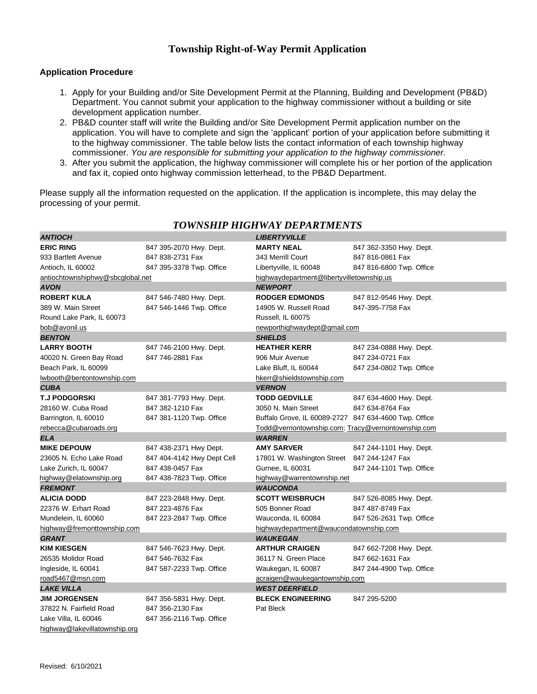## **Township Right-of-Way Permit Application**

## **Application Procedure**

- 1. Apply for your Building and/or Site Development Permit at the Planning, Building and Development (PB&D) Department. You cannot submit your application to the highway commissioner without a building or site development application number.
- 2. PB&D counter staff will write the Building and/or Site Development Permit application number on the application. You will have to complete and sign the 'applicant' portion of your application before submitting it to the highway commissioner. The table below lists the contact information of each township highway commissioner. *You are responsible for submitting your application to the highway commissioner.*
- 3. After you submit the application, the highway commissioner will complete his or her portion of the application and fax it, copied onto highway commission letterhead, to the PB&D Department.

Please supply all the information requested on the application. If the application is incomplete, this may delay the processing of your permit.

| <b>ANTIOCH</b>                   |                            | <b>LIBERTYVILLE</b>                                   |                          |
|----------------------------------|----------------------------|-------------------------------------------------------|--------------------------|
| <b>ERIC RING</b>                 | 847 395-2070 Hwy. Dept.    | <b>MARTY NEAL</b>                                     | 847 362-3350 Hwy. Dept.  |
| 933 Bartlett Avenue              | 847 838-2731 Fax           | 343 Merrill Court                                     | 847 816-0861 Fax         |
| Antioch, IL 60002                | 847 395-3378 Twp. Office   | Libertyville, IL 60048                                | 847 816-6800 Twp. Office |
| antiochtownshiphwy@sbcglobal.net |                            | highwaydepartment@libertyvilletownship.us             |                          |
| <b>AVON</b>                      |                            | <b>NEWPORT</b>                                        |                          |
| <b>ROBERT KULA</b>               | 847 546-7480 Hwy. Dept.    | <b>RODGER EDMONDS</b>                                 | 847 812-9546 Hwy. Dept.  |
| 389 W. Main Street               | 847 546-1446 Twp. Office   | 14905 W. Russell Road                                 | 847-395-7758 Fax         |
| Round Lake Park, IL 60073        |                            | Russell, IL 60075                                     |                          |
| bob@avonil.us                    |                            | newporthighwaydept@gmail.com                          |                          |
| <b>BENTON</b>                    |                            | <b>SHIELDS</b>                                        |                          |
| <b>LARRY BOOTH</b>               | 847 746-2100 Hwy. Dept.    | <b>HEATHER KERR</b>                                   | 847 234-0888 Hwy. Dept.  |
| 40020 N. Green Bay Road          | 847 746-2881 Fax           | 906 Muir Avenue                                       | 847 234-0721 Fax         |
| Beach Park, IL 60099             |                            | Lake Bluff, IL 60044                                  | 847 234-0802 Twp. Office |
| wbooth@bentontownship.com        |                            | hkerr@shieldstownship.com                             |                          |
| <b>CUBA</b>                      |                            | <b>VERNON</b>                                         |                          |
| <b>T.J PODGORSKI</b>             | 847 381-7793 Hwy. Dept.    | <b>TODD GEDVILLE</b>                                  | 847 634-4600 Hwy. Dept.  |
| 28160 W. Cuba Road               | 847 382-1210 Fax           | 3050 N. Main Street                                   | 847 634-8764 Fax         |
| Barrington, IL 60010             | 847 381-1120 Twp. Office   | Buffalo Grove, IL 60089-2727 847 634-4600 Twp. Office |                          |
| rebecca@cubaroads.org            |                            | Todd@vernontownship.com; Tracy@vernontownship.com     |                          |
| <b>ELA</b>                       |                            | <b>WARREN</b>                                         |                          |
| <b>MIKE DEPOUW</b>               | 847 438-2371 Hwy Dept.     | <b>AMY SARVER</b>                                     | 847 244-1101 Hwy. Dept.  |
| 23605 N. Echo Lake Road          | 847 404-4142 Hwy Dept Cell | 17801 W. Washington Street 847 244-1247 Fax           |                          |
| Lake Zurich, IL 60047            | 847 438-0457 Fax           | Gurnee, IL 60031                                      | 847 244-1101 Twp. Office |
| highway@elatownship.org          | 847 438-7823 Twp. Office   | highway@warrentownship.net                            |                          |
| <b>FREMONT</b>                   |                            | <b>WAUCONDA</b>                                       |                          |
| <b>ALICIA DODD</b>               | 847 223-2848 Hwy. Dept.    | <b>SCOTT WEISBRUCH</b>                                | 847 526-8085 Hwy. Dept.  |
| 22376 W. Erhart Road             | 847 223-4876 Fax           | 505 Bonner Road                                       | 847 487-8749 Fax         |
| Mundelein, IL 60060              | 847 223-2847 Twp. Office   | Wauconda, IL 60084                                    | 847 526-2631 Twp. Office |
| highway@fremonttownship.com      |                            | highwaydepartment@waucondatownship.com                |                          |
| <b>GRANT</b>                     |                            | <b>WAUKEGAN</b>                                       |                          |
| <b>KIM KIESGEN</b>               | 847 546-7623 Hwy. Dept.    | <b>ARTHUR CRAIGEN</b>                                 | 847 662-7208 Hwy. Dept.  |
| 26535 Molidor Road               | 847 546-7632 Fax           | 36117 N. Green Place                                  | 847 662-1631 Fax         |
| Ingleside, IL 60041              | 847 587-2233 Twp. Office   | Waukegan, IL 60087                                    | 847 244-4900 Twp. Office |
| road5467@msn.com                 |                            | acraigen@waukegantownship.com                         |                          |
| <b>LAKE VILLA</b>                |                            | <b>WEST DEERFIELD</b>                                 |                          |
| <b>JIM JORGENSEN</b>             | 847 356-5831 Hwy. Dept.    | <b>BLECK ENGINEERING</b>                              | 847 295-5200             |
| 37822 N. Fairfield Road          | 847 356-2130 Fax           | Pat Bleck                                             |                          |
| Lake Villa, IL 60046             | 847 356-2116 Twp. Office   |                                                       |                          |
| highway@lakevillatownship.org    |                            |                                                       |                          |

## *TOWNSHIP HIGHWAY DEPARTMENTS*